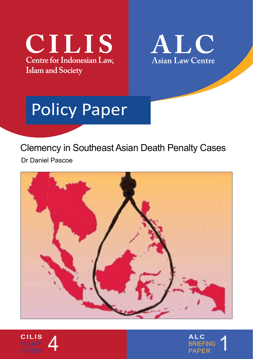CILIS Centre for Indonesian Law. **Islam and Society** 



Policy Paper

# Clemency in Southeast Asian Death Penalty Cases

Dr Daniel Pascoe





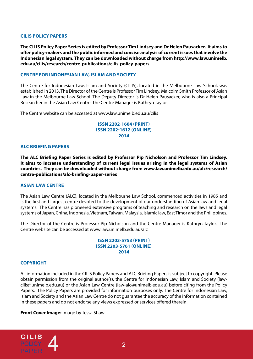#### **CILIS Policy papers**

**The CILIS Policy Paper Series is edited by Professor Tim Lindsey and Dr Helen Pausacker. It aims to offer policy-makers and the public informed and concise analysis of current issues that involve the Indonesian legal system. They can be downloaded without charge from http://www.law.unimelb. edu.au/cilis/research/centre-publications/cilis-policy-papers**

#### **Centre for Indonesian Law, Islam and Society**

The Centre for Indonesian Law, Islam and Society (CILIS), located in the Melbourne Law School, was established in 2013. The Director of the Centre is Professor Tim Lindsey, Malcolm Smith Professor of Asian Law in the Melbourne Law School. The Deputy Director is Dr Helen Pausacker, who is also a Principal Researcher in the Asian Law Centre. The Centre Manager is Kathryn Taylor.

The Centre website can be accessed at www.law.unimelb.edu.au/cilis

#### **ISSN 2202-1604 (Print) ISSN 2202-1612 (Online) 2014**

#### **ALC BRIEFING PAPERS**

**The ALC Briefing Paper Series is edited by Professor Pip Nicholson and Professor Tim Lindsey. It aims to increase understanding of current legal issues arising in the legal systems of Asian countries. They can be downloaded without charge from www.law.unimelb.edu.au/alc/research/ centre-publications/alc-briefing-paper-series**

#### **asian law Centre**

The Asian Law Centre (ALC), located in the Melbourne Law School, commenced activities in 1985 and is the first and largest centre devoted to the development of our understanding of Asian law and legal systems. The Centre has pioneered extensive programs of teaching and research on the laws and legal systems of Japan, China, Indonesia, Vietnam, Taiwan, Malaysia, Islamic law, East Timor and the Philippines.

The Director of the Centre is Professor Pip Nicholson and the Centre Manager is Kathryn Taylor. The Centre website can be accessed at www.law.unimelb.edu.au/alc

#### **ISSN 2203-5753 (Print) ISSN 2203-5761 (Online) 2014**

#### **COPYRIGHT**

All information included in the CILIS Policy Papers and ALC Briefing Papers is subject to copyright. Please obtain permission from the original author(s), the Centre for Indonesian Law, Islam and Society (lawcilis@unimelb.edu.au) or the Asian Law Centre (law-alc@unimelb.edu.au) before citing from the Policy Papers. The Policy Papers are provided for information purposes only. The Centre for Indonesian Law, Islam and Society and the Asian Law Centre do not guarantee the accuracy of the information contained in these papers and do not endorse any views expressed or services offered therein.

**Front Cover Image:** Image by Tessa Shaw.

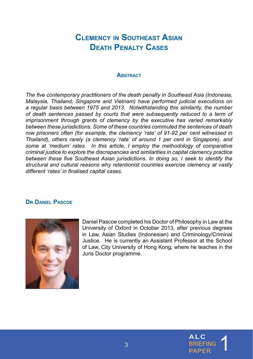## **Clemency in Southeast Asian Death Penalty Cases**

## **ABSTRACT**

*The five contemporary practitioners of the death penalty in Southeast Asia (Indonesia, Malaysia, Thailand, Singapore and Vietnam) have performed judicial executions on a regular basis between 1975 and 2013. Notwithstanding this similarity, the number of death sentences passed by courts that were subsequently reduced to a term of imprisonment through grants of clemency by the executive has varied remarkably between these jurisdictions. Some of these countries commuted the sentences of death row prisoners often (for example, the clemency 'rate' of 91-92 per cent witnessed in Thailand), others rarely (a clemency 'rate' of around 1 per cent in Singapore), and some at 'medium' rates. In this article, I employ the methodology of comparative criminal justice to explore the discrepancies and similarities in capital clemency practice between these five Southeast Asian jurisdictions. In doing so, I seek to identify the structural and cultural reasons why retentionist countries exercise clemency at vastly different 'rates' in finalised capital cases.* 

## **Dr Daniel Pascoe**



Daniel Pascoe completed his Doctor of Philosophy in Law at the University of Oxford in October 2013, after previous degrees in Law, Asian Studies (Indonesian) and Criminology/Criminal Justice. He is currently an Assistant Professor at the School of Law, City University of Hong Kong, where he teaches in the Juris Doctor programme.

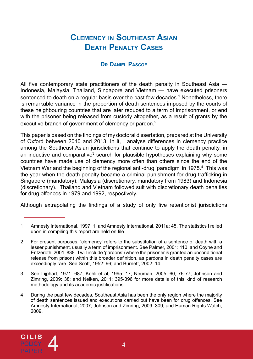## **Clemency in Southeast Asian Death Penalty Cases**

## **Dr Daniel Pascoe**

All five contemporary state practitioners of the death penalty in Southeast Asia — Indonesia, Malaysia, Thailand, Singapore and Vietnam — have executed prisoners sentenced to death on a regular basis over the past few decades.<sup>1</sup> Nonetheless, there is remarkable variance in the proportion of death sentences imposed by the courts of these neighbouring countries that are later reduced to a term of imprisonment, or end with the prisoner being released from custody altogether, as a result of grants by the executive branch of government of clemency or pardon.<sup>2</sup>

This paper is based on the findings of my doctoral dissertation, prepared at the University of Oxford between 2010 and 2013. In it, I analyse differences in clemency practice among the Southeast Asian jurisdictions that continue to apply the death penalty, in an inductive and comparative<sup>3</sup> search for plausible hypotheses explaining why some countries have made use of clemency more often than others since the end of the Vietnam War and the beginning of the regional anti-drug 'paradigm' in 1975.<sup>4</sup> This was the year when the death penalty became a criminal punishment for drug trafficking in Singapore (mandatory); Malaysia (discretionary, mandatory from 1983) and Indonesia (discretionary). Thailand and Vietnam followed suit with discretionary death penalties for drug offences in 1979 and 1992, respectively.

Although extrapolating the findings of a study of only five retentionist jurisdictions



<sup>1</sup> Amnesty International, 1997: 1; and Amnesty International, 2011a: 45. The statistics I relied upon in compiling this report are held on file.

<sup>2</sup> For present purposes, 'clemency' refers to the substitution of a sentence of death with a lesser punishment, usually a term of imprisonment. See Palmer, 2001: 110; and Coyne and Entzeroth, 2001: 838. I will include 'pardons' (where the prisoner is granted an unconditional release from prison) within this broader definition, as pardons in death penalty cases are exceedingly rare. See Scott, 1952: 96; and Burnett, 2002: 14.

<sup>3</sup> See Lijphart, 1971: 687; Kohli et al, 1995: 17; Neuman, 2005: 60, 76-77; Johnson and Zimring, 2009: 38; and Nelken, 2011: 395-396 for more details of this kind of research methodology and its academic justifications.

<sup>4</sup> During the past few decades, Southeast Asia has been the only region where the majority of death sentences issued and executions carried out have been for drug offences. See Amnesty International, 2007; Johnson and Zimring, 2009: 309; and Human Rights Watch, 2009.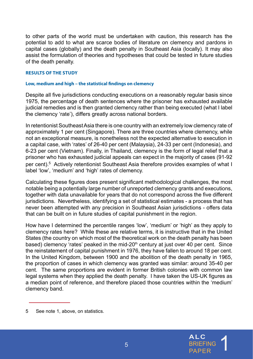to other parts of the world must be undertaken with caution, this research has the potential to add to what are scarce bodies of literature on clemency and pardons in capital cases (globally) and the death penalty in Southeast Asia (locally). It may also assist the formulation of theories and hypotheses that could be tested in future studies of the death penalty.

## **Results of the Study**

## **Low, medium and high – the statistical findings on clemency**

Despite all five jurisdictions conducting executions on a reasonably regular basis since 1975, the percentage of death sentences where the prisoner has exhausted available judicial remedies and is then granted clemency rather than being executed (what I label the clemency 'rate'), differs greatly across national borders.

In retentionist Southeast Asia there is one country with an extremely low clemency rate of approximately 1 per cent (Singapore). There are three countries where clemency, while not an exceptional measure, is nonetheless not the expected alternative to execution in a capital case, with 'rates' of 26-40 per cent (Malaysia), 24-33 per cent (Indonesia), and 6-23 per cent (Vietnam). Finally, in Thailand, clemency is the form of legal relief that a prisoner who has exhausted judicial appeals can expect in the majority of cases (91-92 per cent).<sup>5</sup> Actively retentionist Southeast Asia therefore provides examples of what I label 'low', 'medium' and 'high' rates of clemency.

Calculating these figures does present significant methodological challenges, the most notable being a potentially large number of unreported clemency grants and executions, together with data unavailable for years that do not correspond across the five different jurisdictions. Nevertheless, identifying a set of statistical estimates - a process that has never been attempted with any precision in Southeast Asian jurisdictions - offers data that can be built on in future studies of capital punishment in the region.

How have I determined the percentile ranges 'low', 'medium' or 'high' as they apply to clemency rates here? While these are relative terms, it is instructive that in the United States (the country on which most of the theoretical work on the death penalty has been based) clemency 'rates' peaked in the mid-20<sup>th</sup> century at just over 40 per cent. Since the reinstatement of capital punishment in 1976, they have fallen to around 18 per cent. In the United Kingdom, between 1900 and the abolition of the death penalty in 1965, the proportion of cases in which clemency was granted was similar: around 35-40 per cent. The same proportions are evident in former British colonies with common law legal systems when they applied the death penalty. I have taken the US-UK figures as a median point of reference, and therefore placed those countries within the 'medium' clemency band.



<sup>5</sup> See note 1, above, on statistics.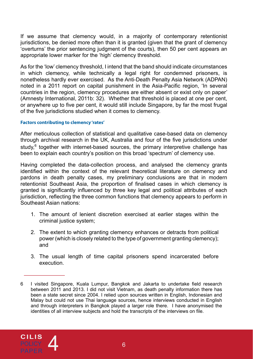If we assume that clemency would, in a majority of contemporary retentionist jurisdictions, be denied more often than it is granted (given that the grant of clemency 'overturns' the prior sentencing judgment of the courts), then 50 per cent appears an appropriate lower marker for the 'high' clemency threshold.

As for the 'low' clemency threshold, I intend that the band should indicate circumstances in which clemency, while technically a legal right for condemned prisoners, is nonetheless hardly ever exercised. As the Anti-Death Penalty Asia Network (ADPAN) noted in a 2011 report on capital punishment in the Asia-Pacific region, 'In several countries in the region, clemency procedures are either absent or exist only on paper' (Amnesty International, 2011b: 32). Whether that threshold is placed at one per cent, or anywhere up to five per cent, it would still include Singapore, by far the most frugal of the five jurisdictions studied when it comes to clemency.

## **Factors contributing to clemency 'rates'**

After meticulous collection of statistical and qualitative case-based data on clemency through archival research in the UK, Australia and four of the five jurisdictions under study,<sup>6</sup> together with internet-based sources, the primary interpretive challenge has been to explain each country's position on this broad 'spectrum' of clemency use.

Having completed the data-collection process, and analysed the clemency grants identified within the context of the relevant theoretical literature on clemency and pardons in death penalty cases, my preliminary conclusions are that in modern retentionist Southeast Asia, the proportion of finalised cases in which clemency is granted is significantly influenced by three key legal and political attributes of each jurisdiction, reflecting the three common functions that clemency appears to perform in Southeast Asian nations:

- 1. The amount of lenient discretion exercised at earlier stages within the criminal justice system;
- 2. The extent to which granting clemency enhances or detracts from political power (which is closely related to the type of government granting clemency); and
- 3. The usual length of time capital prisoners spend incarcerated before execution.

<sup>6</sup> I visited Singapore, Kuala Lumpur, Bangkok and Jakarta to undertake field research between 2011 and 2013. I did not visit Vietnam, as death penalty information there has been a state secret since 2004. I relied upon sources written in English, Indonesian and Malay but could not use Thai language sources, hence interviews conducted in English and through interpreters in Bangkok played a larger role there. I have anonymised the identities of all interview subjects and hold the transcripts of the interviews on file.

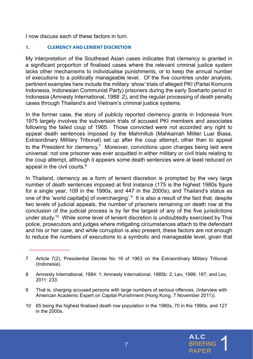I now discuss each of these factors in turn.

## **1. Clemency and Lenient Discretion**

My interpretation of the Southeast Asian cases indicates that clemency is granted in a significant proportion of finalised cases where the relevant criminal justice system lacks other mechanisms to individualise punishments, or to keep the annual number of executions to a politically manageable level. Of the five countries under analysis, pertinent examples here include the military 'show' trials of alleged PKI (Partai Komunis Indonesia, Indonesian Communist Party) prisoners during the early Soeharto period in Indonesia (Amnesty International, 1988: 2), and the regular processing of death penalty cases through Thailand's and Vietnam's criminal justice systems.

In the former case, the story of publicly reported clemency grants in Indonesia from 1975 largely involves the subversion trials of accused PKI members and associates following the failed coup of 1965. Those convicted were not accorded any right to appeal death sentences imposed by the Mahmillub (Mahkamah Militer Luar Biasa, Extraordinary Military Tribunal) set up after the coup attempt, other than to appeal to the President for clemency.<sup>7</sup> Moreover, convictions upon charges being laid were universal: not one prisoner was ever acquitted in either military or civil trials relating to the coup attempt, although it appears some death sentences were at least reduced on appeal in the civil courts. $8$ 

In Thailand, clemency as a form of lenient discretion is prompted by the very large number of death sentences imposed at first instance (175 is the highest 1980s figure for a single year, 109 in the 1990s, and 447 in the 2000s), and Thailand's status as one of the 'world capital[s] of overcharging'.<sup>9</sup> It is also a result of the fact that, despite two levels of judicial appeals, the number of prisoners remaining on death row at the conclusion of the judicial process is by far the largest of any of the five jurisdictions under study.10 While some level of lenient discretion is undoubtedly exercised by Thai police, prosecutors and judges where mitigating circumstances attach to the defendant and his or her case, and while corruption is also present, these factors are not enough to reduce the numbers of executions to a symbolic and manageable level, given that

9 That is, charging accused persons with large numbers of serious offences. (Interview with American Academic Expert on Capital Punishment (Hong Kong, 7 November 2011)).

<sup>10</sup> 65 being the highest finalised death row population in the 1980s, 70 in the 1990s, and 127 in the 2000s.



<sup>7</sup> Article 7(2), Presidential Decree No 16 of 1963 on the Extraordinary Military Tribunal (Indonesia).

<sup>8</sup> Amnesty International, 1984: 1; Amnesty International, 1985b: 2; Lev, 1999: 187; and Lev, 2011: 233.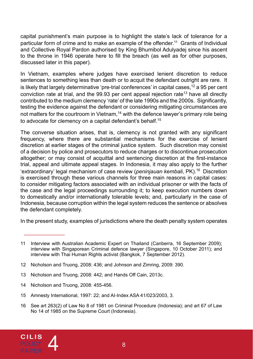capital punishment's main purpose is to highlight the state's lack of tolerance for a particular form of crime and to make an example of the offender.<sup>11</sup> Grants of Individual and Collective Royal Pardon authorised by King Bhumibol Adulyadej since his ascent to the throne in 1946 operate here to fill the breach (as well as for other purposes, discussed later in this paper).

In Vietnam, examples where judges have exercised lenient discretion to reduce sentences to something less than death or to acquit the defendant outright are rare. It is likely that largely determinative 'pre-trial conferences' in capital cases,<sup>12</sup> a 95 per cent conviction rate at trial, and the 99.93 per cent appeal rejection rate13 have all directly contributed to the medium clemency 'rate' of the late 1990s and the 2000s. Significantly, testing the evidence against the defendant or considering mitigating circumstances are not matters for the courtroom in Vietnam,<sup>14</sup> with the defence lawyer's primary role being to advocate for clemency on a capital defendant's behalf.<sup>15</sup>

The converse situation arises, that is, clemency is not granted with any significant frequency, where there are substantial mechanisms for the exercise of lenient discretion at earlier stages of the criminal justice system. Such discretion may consist of a decision by police and prosecutors to reduce charges or to discontinue prosecution altogether; or may consist of acquittal and sentencing discretion at the first-instance trial, appeal and ultimate appeal stages. In Indonesia, it may also apply to the further 'extraordinary' legal mechanism of case review (*peninjauan kembali*, PK).16 Discretion is exercised through these various channels for three main reasons in capital cases: to consider mitigating factors associated with an individual prisoner or with the facts of the case and the legal proceedings surrounding it; to keep execution numbers down to domestically and/or internationally tolerable levels; and, particularly in the case of Indonesia, because corruption within the legal system reduces the sentence or absolves the defendant completely.

In the present study, examples of jurisdictions where the death penalty system operates

- 12 Nicholson and Truong, 2008: 436; and Johnson and Zimring, 2009: 390.
- 13 Nicholson and Truong, 2008: 442; and Hands Off Cain, 2013c.
- 14 Nicholson and Truong, 2008: 455-456.
- 15 Amnesty International, 1997: 22; and AI-Index ASA 41/023/2003, 3.
- 16 See art 263(2) of Law No 8 of 1981 on Criminal Procedure (Indonesia); and art 67 of Law No 14 of 1985 on the Supreme Court (Indonesia).



<sup>11</sup> Interview with Australian Academic Expert on Thailand (Canberra, 16 September 2009); interview with Singaporean Criminal defence lawyer (Singapore, 10 October 2011); and interview with Thai Human Rights activist (Bangkok, 7 September 2012).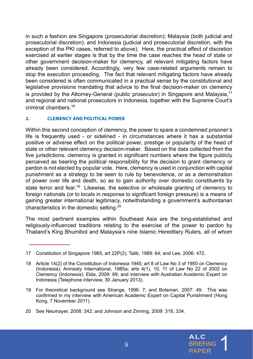in such a fashion are Singapore (prosecutorial discretion); Malaysia (both judicial and prosecutorial discretion); and Indonesia (judicial and prosecutorial discretion, with the exception of the PKI cases, referred to above). Here, the practical effect of discretion exercised at earlier stages is that by the time the case reaches the head of state or other government decision-maker for clemency, all relevant mitigating factors have already been considered. Accordingly, very few case-related arguments remain to stop the execution proceeding. The fact that relevant mitigating factors have already been considered is often communicated in a practical sense by the constitutional and legislative provisions mandating that advice to the final decision-maker on clemency is provided by the Attorney-General (public prosecutor) in Singapore and Malaysia,<sup>17</sup> and regional and national prosecutors in Indonesia, together with the Supreme Court's criminal chambers.<sup>18</sup>

## **2. Clemency and Political Power**

Within this second conception of clemency, the power to spare a condemned prisoner's life is frequently used - or sidelined - in circumstances where it has a substantial positive or adverse effect on the political power, prestige or popularity of the head of state or other relevant clemency decision-maker. Based on the data collected from the five jurisdictions, clemency is granted in significant numbers where the figure publicly perceived as bearing the political responsibility for the decision to grant clemency or pardon is not elected by popular vote. Here, clemency is used in conjunction with capital punishment as a strategy to be seen to rule by benevolence, or as a demonstration of power over life and death, so as to gain authority over domestic constituents by state terror and fear.<sup>19</sup> Likewise, the selective or wholesale granting of clemency to foreign nationals (or to locals in response to significant foreign pressure) is a means of gaining greater international legitimacy, notwithstanding a government's authoritarian characteristics in the domestic setting.20

The most pertinent examples within Southeast Asia are the long-established and religiously-influenced traditions relating to the exercise of the power to pardon by Thailand's King Bhumibol and Malaysia's nine Islamic Hereditary Rulers, all of whom



<sup>17</sup> Constitution of Singapore 1965, art 22P(2); Talib, 1989: 64; and Lee, 2006: 472.

<sup>18</sup> Article 14(2) of the Constitution of Indonesia 1945; art 8 of Law No 3 of 1950 on Clemency (Indonesia); Amnesty International, 1985a; arts 4(1), 10, 11 of Law No 22 of 2002 on Clemency (Indonesia); Elda, 2009: 89; and interview with Australian Academic Expert on Indonesia (Telephone interview, 30 January 2013).

<sup>19</sup> For theoretical background see Strange, 1996: 7; and Botsman, 2007: 49. This was confirmed in my interview with American Academic Expert on Capital Punishment (Hong Kong, 7 November 2011).

<sup>20</sup> See Neumayer, 2008: 242; and Johnson and Zimring, 2009: 318, 334.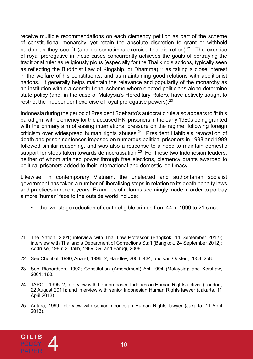receive multiple recommendations on each clemency petition as part of the scheme of constitutional monarchy, yet retain the absolute discretion to grant or withhold pardon as they see fit (and do sometimes exercise this discretion).<sup>21</sup> The exercise of royal prerogative in these cases concurrently achieves the goals of portraying the traditional ruler as religiously pious (especially for the Thai king's actions, typically seen as reflecting the Buddhist Law of Kingship, or Dhamma);<sup>22</sup> as taking a close interest in the welfare of his constituents; and as maintaining good relations with abolitionist nations. It generally helps maintain the relevance and popularity of the monarchy as an institution within a constitutional scheme where elected politicians alone determine state policy (and, in the case of Malaysia's Hereditary Rulers, have actively sought to restrict the independent exercise of roval prerogative powers).<sup>23</sup>

Indonesia during the period of President Soeharto's autocratic rule also appears to fit this paradigm, with clemency for the accused PKI prisoners in the early 1980s being granted with the primary aim of easing international pressure on the regime, following foreign criticism over widespread human rights abuses.24 President Habibie's revocation of death and prison sentences imposed on numerous political prisoners in 1998 and 1999 followed similar reasoning, and was also a response to a need to maintain domestic support for steps taken towards democratisation.<sup>25</sup> For these two Indonesian leaders, neither of whom attained power through free elections, clemency grants awarded to political prisoners added to their international and domestic legitimacy.

Likewise, in contemporary Vietnam, the unelected and authoritarian socialist government has taken a number of liberalising steps in relation to its death penalty laws and practices in recent years. Examples of reforms seemingly made in order to portray a more 'human' face to the outside world include:

• the two-stage reduction of death-eligible crimes from 44 in 1999 to 21 since



<sup>21</sup> The Nation, 2001; interview with Thai Law Professor (Bangkok, 14 September 2012); interview with Thailand's Department of Corrections Staff (Bangkok, 24 September 2012); Addruse, 1986: 2; Talib, 1989: 39; and Faruqi, 2008.

<sup>22</sup> See Chotibal, 1990; Anand, 1996: 2; Handley, 2006: 434; and van Oosten, 2008: 258.

<sup>23</sup> See Richardson, 1992; Constitution (Amendment) Act 1994 (Malaysia); and Kershaw, 2001: 160.

<sup>24</sup> TAPOL, 1995: 2; interview with London-based Indonesian Human Rights activist (London, 22 August 2011); and interview with senior Indonesian Human Rights lawyer (Jakarta, 11 April 2013).

<sup>25</sup> Antara, 1999; interview with senior Indonesian Human Rights lawyer (Jakarta, 11 April 2013).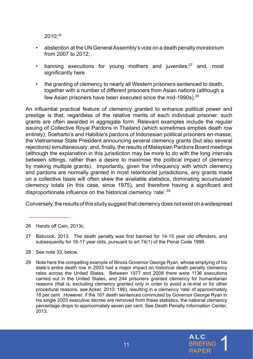2010;26

- abstention at the UN General Assembly's vote on a death penalty moratorium from 2007 to 2012;
- banning executions for young mothers and juveniles;<sup>27</sup> and, most significantly here
- the granting of clemency to nearly all Western prisoners sentenced to death, together with a number of different prisoners from Asian nations (although a few Asian prisoners have been executed since the mid-1990s).<sup>28</sup>

An influential practical feature of clemency granted to enhance political power and prestige is that, regardless of the relative merits of each individual prisoner, such grants are often awarded in aggregate form. Relevant examples include the regular issuing of Collective Royal Pardons in Thailand (which sometimes empties death row entirely); Soeharto's and Habibie's pardons of Indonesian political prisoners en-masse; the Vietnamese State President announcing several clemency grants (but also several rejections) simultaneously; and, finally, the results of Malaysian Pardons Board meetings (although the explanation in this jurisdiction may be more to do with the long intervals between sittings, rather than a desire to maximise the political impact of clemency by making multiple grants). Importantly, given the infrequency with which clemency and pardons are normally granted in most retentionist jurisdictions, any grants made on a collective basis will often skew the available statistics, dominating accumulated clemency totals (in this case, since 1975), and therefore having a significant and disproportionate influence on the historical clemency 'rate'.<sup>29</sup>

Conversely, the results of this study suggest that clemency does not exist on a widespread

- 27 Babcock, 2013. The death penalty was first banned for 14-15 year old offenders, and subsequently for 16-17 year olds, pursuant to art 74(1) of the Penal Code 1999.
- 28 See note 33, below.
- 29 Note here the compelling example of Illinois Governor George Ryan, whose emptying of his state's entire death row in 2003 had a major impact on historical death penalty clemency rates across the United States. Between 1977 and 2008 there were 1136 executions carried out in the United States, and 244 prisoners granted clemency for humanitarian reasons (that is, excluding clemency granted only in order to avoid a re-trial or for other procedural reasons, see Acker, 2010: 186), resulting in a clemency 'rate' of approximately 18 per cent. However, if the 167 death sentences commuted by Governor George Ryan in his single 2003 executive decree are removed from these statistics, the national clemency percentage drops to approximately seven per cent. See Death Penalty Information Center, 2013.



<sup>26</sup> Hands off Cain, 2013c.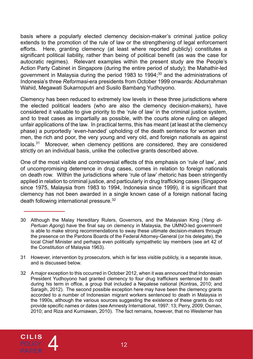basis where a popularly elected clemency decision-maker's criminal justice policy extends to the promotion of the rule of law or the strengthening of legal enforcement efforts. Here, granting clemency (at least where reported publicly) constitutes a significant political liability, rather than being of political benefit (as was the case for autocratic regimes). Relevant examples within the present study are the People's Action Party Cabinet in Singapore (during the entire period of study); the Mahathir-led government in Malaysia during the period 1983 to 1994;<sup>30</sup> and the administrations of Indonesia's three *Reformasi*-era presidents from October 1999 onwards: Abdurrahman Wahid, Megawati Sukarnoputri and Susilo Bambang Yudhoyono.

Clemency has been reduced to extremely low levels in these three jurisdictions where the elected political leaders (who are also the clemency decision-makers), have considered it valuable to give priority to the 'rule of law' in the criminal justice system, and to treat cases as impartially as possible, with the courts alone ruling on alleged unfair applications of the law. In practical terms, this has meant (at least at the clemency phase) a purportedly 'even-handed' upholding of the death sentence for women and men, the rich and poor, the very young and very old, and foreign nationals as against locals.31 Moreover, when clemency petitions are considered, they are considered strictly on an individual basis, unlike the collective grants described above.

One of the most visible and controversial effects of this emphasis on 'rule of law', and of uncompromising deterrence in drug cases, comes in relation to foreign nationals on death row. Within the jurisdictions where 'rule of law' rhetoric has been stringently applied in relation to criminal justice, and particularly in drug trafficking cases (Singapore since 1975, Malaysia from 1983 to 1994, Indonesia since 1999), it is significant that clemency has not been awarded in a single known case of a foreign national facing death following international pressure.<sup>32</sup>

- 31 However, intervention by prosecutors, which is far less visible publicly, is a separate issue, and is discussed below.
- 32 A major exception to this occurred in October 2012, when it was announced that Indonesian President Yudhoyono had granted clemency to four drug traffickers sentenced to death during his term in office, a group that included a Nepalese national (Kontras, 2010; and Saragih, 2012). The second possible exception here may have been the clemency grants accorded to a number of Indonesian migrant workers sentenced to death in Malaysia in the 1990s, although the various sources suggesting the existence of these grants do not provide specific names or dates (see Amnesty International, 1997: 13; Perry, 2009; Osman, 2010; and Riza and Kurniawan, 2010). The fact remains, however, that no Westerner has



<sup>30</sup> Although the Malay Hereditary Rulers, Governors, and the Malaysian King (*Yang di-Pertuan Agong*) have the final say on clemency in Malaysia, the UMNO-led government is able to make strong recommendations to sway these ultimate decision-makers through the presence on the Pardons Boards of the Federal Attorney-General (or his delegate), the local Chief Minister and perhaps even politically sympathetic lay members (see art 42 of the Constitution of Malaysia 1963).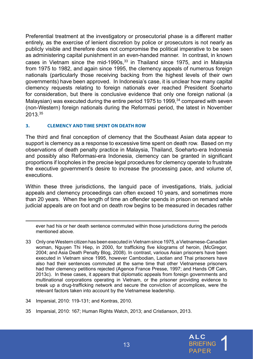Preferential treatment at the investigatory or prosecutorial phase is a different matter entirely, as the exercise of lenient discretion by police or prosecutors is not nearly as publicly visible and therefore does not compromise the political imperative to be seen as administering capital punishment in an even-handed manner. In contrast, in known cases in Vietnam since the mid-1990s,  $33$  in Thailand since 1975, and in Malaysia from 1975 to 1982, and again since 1995, the clemency appeals of numerous foreign nationals (particularly those receiving backing from the highest levels of their own governments) have been approved. In Indonesia's case, it is unclear how many capital clemency requests relating to foreign nationals ever reached President Soeharto for consideration, but there is conclusive evidence that only one foreign national (a Malaysian) was executed during the entire period 1975 to 1999.<sup>34</sup> compared with seven (non-Western) foreign nationals during the Reformasi period, the latest in November 2013.<sup>35</sup>

## **3. Clemency and Time Spent on Death Row**

The third and final conception of clemency that the Southeast Asian data appear to support is clemency as a response to excessive time spent on death row. Based on my observations of death penalty practice in Malaysia, Thailand, Soeharto-era Indonesia and possibly also Reformasi-era Indonesia, clemency can be granted in significant proportions if loopholes in the precise legal procedures for clemency operate to frustrate the executive government's desire to increase the processing pace, and volume of, executions.

Within these three jurisdictions, the languid pace of investigations, trials, judicial appeals and clemency proceedings can often exceed 10 years, and sometimes more than 20 years. When the length of time an offender spends in prison on remand while judicial appeals are on foot and on death row begins to be measured in decades rather

ever had his or her death sentence commuted within those jurisdictions during the periods mentioned above.

- 33 Only one Western citizen has been executed in Vietnam since 1975, a Vietnamese-Canadian woman, Nguyen Thi Hiep, in 2000, for trafficking five kilograms of heroin, (McGregor, 2004; and Asia Death Penalty Blog, 2008). In contrast, various Asian prisoners have been executed in Vietnam since 1995, however Cambodian, Laotian and Thai prisoners have also had their sentences commuted at the same time that other Vietnamese prisoners had their clemency petitions rejected (Agence France Presse, 1997; and Hands Off Cain, 2013c). In these cases, it appears that diplomatic appeals from foreign governments and multinational corporations operating in Vietnam, or the prisoner providing evidence to break up a drug-trafficking network and secure the conviction of accomplices, were the relevant factors taken into account by the Vietnamese leadership.
- 34 Imparsial, 2010: 119-131; and Kontras, 2010.
- 35 Imparsial, 2010: 167; Human Rights Watch, 2013; and Cristianson, 2013.

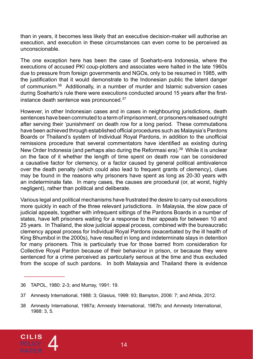than in years, it becomes less likely that an executive decision-maker will authorise an execution, and execution in these circumstances can even come to be perceived as unconscionable.

The one exception here has been the case of Soeharto-era Indonesia, where the executions of accused PKI coup-plotters and associates were halted in the late 1960s due to pressure from foreign governments and NGOs, only to be resumed in 1985, with the justification that it would demonstrate to the Indonesian public the latent danger of communism.36 Additionally, in a number of murder and Islamic subversion cases during Soeharto's rule there were executions conducted around 15 years after the firstinstance death sentence was pronounced.37

However, in other Indonesian cases and in cases in neighbouring jurisdictions, death sentences have been commuted to a term of imprisonment, or prisoners released outright after serving their 'punishment' on death row for a long period. These commutations have been achieved through established official procedures such as Malaysia's Pardons Boards or Thailand's system of Individual Royal Pardons, in addition to the unofficial remissions procedure that several commentators have identified as existing during New Order Indonesia (and perhaps also during the Reformasi era).<sup>38</sup> While it is unclear on the face of it whether the length of time spent on death row can be considered a causative factor for clemency, or a factor caused by general political ambivalence over the death penalty (which could also lead to frequent grants of clemency), clues may be found in the reasons why prisoners have spent as long as 20-30 years with an indeterminate fate. In many cases, the causes are procedural (or, at worst, highly negligent), rather than political and deliberate.

Various legal and political mechanisms have frustrated the desire to carry out executions more quickly in each of the three relevant jurisdictions. In Malaysia, the slow pace of judicial appeals, together with infrequent sittings of the Pardons Boards in a number of states, have left prisoners waiting for a response to their appeals for between 10 and 25 years. In Thailand, the slow judicial appeal process, combined with the bureaucratic clemency appeal process for Individual Royal Pardons (exacerbated by the ill health of King Bhumibol in the 2000s), have resulted in long and indeterminate stays in detention for many prisoners. This is particularly true for those barred from consideration for Collective Royal Pardon because of their behaviour in prison, or because they were sentenced for a crime perceived as particularly serious at the time and thus excluded from the scope of such pardons. In both Malaysia and Thailand there is evidence



<sup>36</sup> TAPOL, 1980: 2-3; and Murray, 1991: 19.

<sup>37</sup> Amnesty International, 1988: 3; Glasius, 1999: 93; Bampton, 2006: 7; and Afrida, 2012.

<sup>38</sup> Amnesty International, 1987a; Amnesty International, 1987b; and Amnesty International, 1988: 3, 5.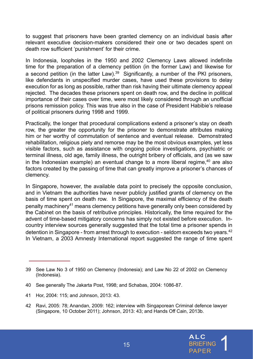to suggest that prisoners have been granted clemency on an individual basis after relevant executive decision-makers considered their one or two decades spent on death row sufficient 'punishment' for their crime.

In Indonesia, loopholes in the 1950 and 2002 Clemency Laws allowed indefinite time for the preparation of a clemency petition (in the former Law) and likewise for a second petition (in the latter Law).<sup>39</sup> Significantly, a number of the PKI prisoners, like defendants in unspecified murder cases, have used these provisions to delay execution for as long as possible, rather than risk having their ultimate clemency appeal rejected. The decades these prisoners spent on death row, and the decline in political importance of their cases over time, were most likely considered through an unofficial prisons remission policy. This was true also in the case of President Habibie's release of political prisoners during 1998 and 1999.

Practically, the longer that procedural complications extend a prisoner's stay on death row, the greater the opportunity for the prisoner to demonstrate attributes making him or her worthy of commutation of sentence and eventual release. Demonstrated rehabilitation, religious piety and remorse may be the most obvious examples, yet less visible factors, such as assistance with ongoing police investigations, psychiatric or terminal illness, old age, family illness, the outright bribery of officials, and (as we saw in the Indonesian example) an eventual change to a more liberal regime,  $40$  are also factors created by the passing of time that can greatly improve a prisoner's chances of clemency.

In Singapore, however, the available data point to precisely the opposite conclusion, and in Vietnam the authorities have never publicly justified grants of clemency on the basis of time spent on death row. In Singapore, the maximal efficiency of the death penalty machinery<sup>41</sup> means clemency petitions have generally only been considered by the Cabinet on the basis of retributive principles. Historically, the time required for the advent of time-based mitigatory concerns has simply not existed before execution. Incountry interview sources generally suggested that the total time a prisoner spends in detention in Singapore - from arrest through to execution - seldom exceeds two years.<sup>42</sup> In Vietnam, a 2003 Amnesty International report suggested the range of time spent

<sup>42</sup> Ravi, 2005: 78; Anandan, 2009: 162; interview with Singaporean Criminal defence lawyer (Singapore, 10 October 2011); Johnson, 2013: 43; and Hands Off Cain, 2013b.



<sup>39</sup> See Law No 3 of 1950 on Clemency (Indonesia); and Law No 22 of 2002 on Clemency (Indonesia).

<sup>40</sup> See generally The Jakarta Post, 1998; and Schabas, 2004: 1086-87.

<sup>41</sup> Hor, 2004: 115; and Johnson, 2013: 43.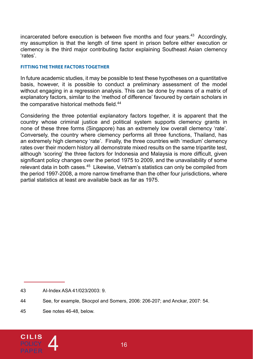incarcerated before execution is between five months and four vears.<sup>43</sup> Accordingly, my assumption is that the length of time spent in prison before either execution or clemency is the third major contributing factor explaining Southeast Asian clemency 'rates'

## **Fitting the Three Factors Together**

In future academic studies, it may be possible to test these hypotheses on a quantitative basis, however, it is possible to conduct a preliminary assessment of the model without engaging in a regression analysis. This can be done by means of a matrix of explanatory factors, similar to the 'method of difference' favoured by certain scholars in the comparative historical methods field.<sup>44</sup>

Considering the three potential explanatory factors together, it is apparent that the country whose criminal justice and political system supports clemency grants in none of these three forms (Singapore) has an extremely low overall clemency 'rate'. Conversely, the country where clemency performs all three functions, Thailand, has an extremely high clemency 'rate'. Finally, the three countries with 'medium' clemency rates over their modern history all demonstrate mixed results on the same tripartite test, although 'scoring' the three factors for Indonesia and Malaysia is more difficult, given significant policy changes over the period 1975 to 2009, and the unavailability of some relevant data in both cases.45 Likewise, Vietnam's statistics can only be compiled from the period 1997-2008, a more narrow timeframe than the other four jurisdictions, where partial statistics at least are available back as far as 1975.



<sup>43</sup> AI-Index ASA 41/023/2003: 9.

<sup>44</sup> See, for example, Skocpol and Somers, 2006: 206-207; and Anckar, 2007: 54.

<sup>45</sup> See notes 46-48, below.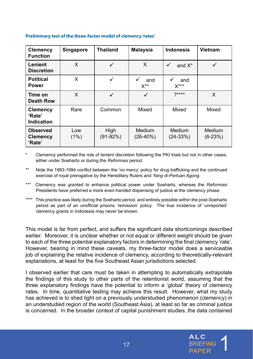| <b>Clemency</b><br><b>Function</b>      | <b>Singapore</b> | <b>Thailand</b>    | <b>Malaysia</b>         | Indonesia            | <b>Vietnam</b>      |
|-----------------------------------------|------------------|--------------------|-------------------------|----------------------|---------------------|
| Lenient<br><b>Discretion</b>            | X                |                    | X                       | and $X^*$<br>✓       | ✓                   |
| <b>Political</b><br><b>Power</b>        | X                | ✓                  | and<br>$X^{\star\star}$ | and<br>$X***$        |                     |
| Time on<br><b>Death Row</b>             | X                | $\checkmark$       | ✓                       | $2***$               | X                   |
| <b>Clemency</b><br>'Rate'<br>Indication | Rare             | Common             | Mixed                   | Mixed                | Mixed               |
| <b>Observed</b><br>Clemency<br>'Rate'   | Low<br>(1%)      | High<br>$(91-92%)$ | Medium<br>$(26-40%)$    | Medium<br>$(24-33%)$ | Medium<br>$(6-23%)$ |

## **Preliminary test of the three-factor model of clemency 'rates'**

Clemency performed the role of lenient discretion following the PKI trials but not in other cases, either under Soeharto or during the *Reformasi* period.

- Note the 1983-1994 conflict between the 'no mercy' policy for drug trafficking and the continued exercise of royal prerogative by the Hereditary Rulers and *Yang di-Pertuan Agong*.
- \*\*\* Clemency was granted to enhance political power under Soeharto, whereas the *Reformasi*  Presidents have preferred a more even-handed dispensing of justice at the clemency phase.
- \*\*\*\* This practice was likely during the Soeharto period, and entirely possible within the post-Soeharto period as part of an unofficial prisons 'remission' policy. The true incidence of 'unreported' clemency grants in Indonesia may never be known.

This model is far from perfect, and suffers the significant data shortcomings described earlier. Moreover, it is unclear whether or not equal or different weight should be given to each of the three potential explanatory factors in determining the final clemency 'rate'. However, bearing in mind these caveats, my three-factor model does a serviceable job of explaining the relative incidence of clemency, according to theoretically-relevant explanations, at least for the five Southeast Asian jurisdictions selected.

I observed earlier that care must be taken in attempting to automatically extrapolate the findings of this study to other parts of the retentionist world, assuming that the three explanatory findings have the potential to inform a 'global' theory of clemency rates. In time, quantitative testing may achieve this result. However, what my study has achieved is to shed light on a previously understudied phenomenon (clemency) in an understudied region of the world (Southeast Asia), at least so far as criminal justice is concerned. In the broader context of capital punishment studies, the data contained

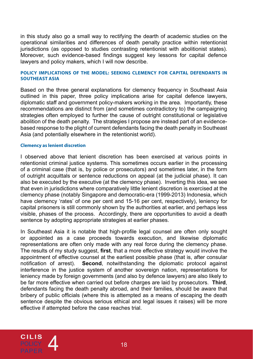in this study also go a small way to rectifying the dearth of academic studies on the operational similarities and differences of death penalty practice within retentionist jurisdictions (as opposed to studies contrasting retentionist with abolitionist states). Moreover, such evidence-based findings suggest key lessons for capital defence lawyers and policy makers, which I will now describe.

## **Policy Implications of the Model: Seeking Clemency for Capital Defendants in Southeast Asia**

Based on the three general explanations for clemency frequency in Southeast Asia outlined in this paper, three policy implications arise for capital defence lawyers, diplomatic staff and government policy-makers working in the area. Importantly, these recommendations are distinct from (and sometimes contradictory to) the campaigning strategies often employed to further the cause of outright constitutional or legislative abolition of the death penalty. The strategies I propose are instead part of an evidencebased response to the plight of current defendants facing the death penalty in Southeast Asia (and potentially elsewhere in the retentionist world).

#### **Clemency as lenient discretion**

I observed above that lenient discretion has been exercised at various points in retentionist criminal justice systems. This sometimes occurs earlier in the processing of a criminal case (that is, by police or prosecutors) and sometimes later, in the form of outright acquittals or sentence reductions on appeal (at the judicial phase). It can also be executed by the executive (at the clemency phase). Inverting this idea, we see that even in jurisdictions where comparatively little lenient discretion is exercised at the clemency phase (notably Singapore and democratic-era (1999-2013) Indonesia, which have clemency 'rates' of one per cent and 15-16 per cent, respectively), leniency for capital prisoners is still commonly shown by the authorities at earlier, and perhaps less visible, phases of the process. Accordingly, there are opportunities to avoid a death sentence by adopting appropriate strategies at earlier phases.

In Southeast Asia it is notable that high-profile legal counsel are often only sought or appointed as a case proceeds towards execution, and likewise diplomatic representations are often only made with any real force during the clemency phase. The results of my study suggest, **first**, that a more effective strategy would involve the appointment of effective counsel at the earliest possible phase (that is, after consular notification of arrest). **Second**, notwithstanding the diplomatic protocol against interference in the justice system of another sovereign nation, representations for leniency made by foreign governments (and also by defence lawyers) are also likely to be far more effective when carried out before charges are laid by prosecutors. **Third**, defendants facing the death penalty abroad, and their families, should be aware that bribery of public officials (where this is attempted as a means of escaping the death sentence despite the obvious serious ethical and legal issues it raises) will be more effective if attempted before the case reaches trial.

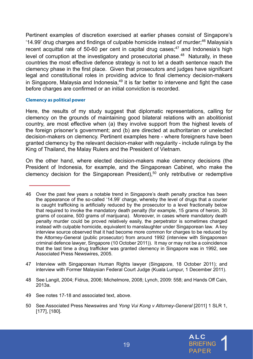Pertinent examples of discretion exercised at earlier phases consist of Singapore's '14.99' drug charges and findings of culpable homicide instead of murder;<sup>46</sup> Malaysia's recent acquittal rate of 50-60 per cent in capital drug cases; $47$  and Indonesia's high level of corruption at the investigatory and prosecutorial phase.<sup>48</sup> Naturally, in these countries the most effective defence strategy is not to let a death sentence reach the clemency phase in the first place. Given that prosecutors and judges have significant legal and constitutional roles in providing advice to final clemency decision-makers in Singapore, Malaysia and Indonesia,<sup>49</sup> it is far better to intervene and fight the case before charges are confirmed or an initial conviction is recorded.

#### **Clemency as political power**

Here, the results of my study suggest that diplomatic representations, calling for clemency on the grounds of maintaining good bilateral relations with an abolitionist country, are most effective when (a) they involve support from the highest levels of the foreign prisoner's government; and (b) are directed at authoritarian or unelected decision-makers on clemency. Pertinent examples here - where foreigners have been granted clemency by the relevant decision-maker with regularity - include rulings by the King of Thailand, the Malay Rulers and the President of Vietnam.

On the other hand, where elected decision-makers make clemency decisions (the President of Indonesia, for example, and the Singaporean Cabinet, who make the clemency decision for the Singaporean President), $50$  only retributive or redemptive

- 47 Interview with Singaporean Human Rights lawyer (Singapore, 18 October 2011); and interview with Former Malaysian Federal Court Judge (Kuala Lumpur, 1 December 2011).
- 48 See Langit, 2004; Fidrus, 2006; Michelmore, 2008; Lynch, 2009: 558; and Hands Off Cain, 2013a.
- 49 See notes 17-18 and associated text, above.
- 50 See Associated Press Newswires and *Yong Vui Kong v Attorney-General* [2011] 1 SLR 1, [177], [180].



<sup>46</sup> Over the past few years a notable trend in Singapore's death penalty practice has been the appearance of the so-called '14.99' charge, whereby the level of drugs that a courier is caught trafficking is artificially reduced by the prosecutor to a level fractionally below that required to invoke the mandatory death penalty (for example, 15 grams of heroin, 30 grams of cocaine, 500 grams of marijuana). Moreover, in cases where mandatory death penalty murder could be proved relatively easily, the perpetrator is sometimes charged instead with culpable homicide, equivalent to manslaughter under Singaporean law. A key interview source observed that it had become more common for charges to be reduced by the Attorney-General (public prosecutor) from around 1992 (interview with Singaporean criminal defence lawyer, Singapore (10 October 2011)). It may or may not be a coincidence that the last time a drug trafficker was granted clemency in Singapore was in 1992, see Associated Press Newswires, 2005.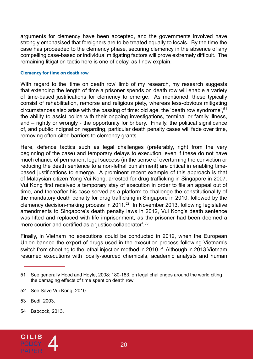arguments for clemency have been accepted, and the governments involved have strongly emphasised that foreigners are to be treated equally to locals. By the time the case has proceeded to the clemency phase, securing clemency in the absence of any compelling case-based or individual mitigating factors will prove extremely difficult. The remaining litigation tactic here is one of delay, as I now explain.

#### **Clemency for time on death row**

With regard to the 'time on death row' limb of my research, my research suggests that extending the length of time a prisoner spends on death row will enable a variety of time-based justifications for clemency to emerge. As mentioned, these typically consist of rehabilitation, remorse and religious piety, whereas less-obvious mitigating circumstances also arise with the passing of time: old age, the 'death row syndrome',  $51$ the ability to assist police with their ongoing investigations, terminal or family illness, and – rightly or wrongly - the opportunity for bribery. Finally, the political significance of, and public indignation regarding, particular death penalty cases will fade over time, removing often-cited barriers to clemency grants.

Here, defence tactics such as legal challenges (preferably, right from the very beginning of the case) and temporary delays to execution, even if these do not have much chance of permanent legal success (in the sense of overturning the conviction or reducing the death sentence to a non-lethal punishment) are critical in enabling timebased justifications to emerge. A prominent recent example of this approach is that of Malaysian citizen Yong Vui Kong, arrested for drug trafficking in Singapore in 2007. Vui Kong first received a temporary stay of execution in order to file an appeal out of time, and thereafter his case served as a platform to challenge the constitutionality of the mandatory death penalty for drug trafficking in Singapore in 2010, followed by the clemency decision-making process in 2011.52 In November 2013, following legislative amendments to Singapore's death penalty laws in 2012, Vui Kong's death sentence was lifted and replaced with life imprisonment, as the prisoner had been deemed a mere courier and certified as a 'justice collaborator'.<sup>53</sup>

Finally, in Vietnam no executions could be conducted in 2012, when the European Union banned the export of drugs used in the execution process following Vietnam's switch from shooting to the lethal injection method in 2010.<sup>54</sup> Although in 2013 Vietnam resumed executions with locally-sourced chemicals, academic analysts and human

52 See Save Vui Kong, 2010.

54 Babcock, 2013.



<sup>51</sup> See generally Hood and Hoyle, 2008: 180-183, on legal challenges around the world citing the damaging effects of time spent on death row.

<sup>53</sup> Bedi, 2003.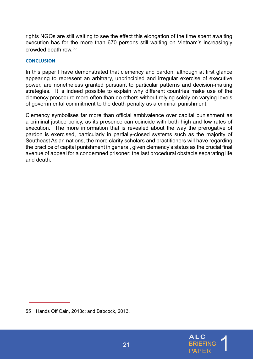rights NGOs are still waiting to see the effect this elongation of the time spent awaiting execution has for the more than 670 persons still waiting on Vietnam's increasingly crowded death row.55

## **Conclusion**

In this paper I have demonstrated that clemency and pardon, although at first glance appearing to represent an arbitrary, unprincipled and irregular exercise of executive power, are nonetheless granted pursuant to particular patterns and decision-making strategies. It is indeed possible to explain why different countries make use of the clemency procedure more often than do others without relying solely on varying levels of governmental commitment to the death penalty as a criminal punishment.

Clemency symbolises far more than official ambivalence over capital punishment as a criminal justice policy, as its presence can coincide with both high and low rates of execution. The more information that is revealed about the way the prerogative of pardon is exercised, particularly in partially-closed systems such as the majority of Southeast Asian nations, the more clarity scholars and practitioners will have regarding the practice of capital punishment in general, given clemency's status as the crucial final avenue of appeal for a condemned prisoner: the last procedural obstacle separating life and death.



<sup>55</sup> Hands Off Cain, 2013c; and Babcock, 2013.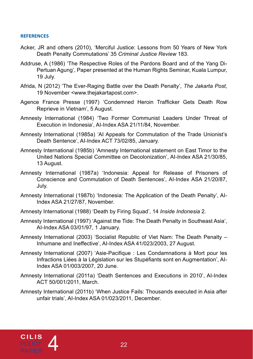### **References**

- Acker, JR and others (2010), 'Merciful Justice: Lessons from 50 Years of New York Death Penalty Commutations' 35 *Criminal Justice Review* 183.
- Addruse, A (1986) 'The Respective Roles of the Pardons Board and of the Yang Di-Pertuan Agung', Paper presented at the Human Rights Seminar, Kuala Lumpur, 19 July.
- Afrida, N (2012) 'The Ever-Raging Battle over the Death Penalty', *The Jakarta Post*, 19 November <www.thejakartapost.com>.
- Agence France Presse (1997) 'Condemned Heroin Trafficker Gets Death Row Reprieve in Vietnam', 5 August.
- Amnesty International (1984) 'Two Former Communist Leaders Under Threat of Execution in Indonesia', AI-Index ASA 21/11/84, November.
- Amnesty International (1985a) 'AI Appeals for Commutation of the Trade Unionist's Death Sentence', AI-Index ACT 73/02/85, January.
- Amnesty International (1985b) 'Amnesty International statement on East Timor to the United Nations Special Committee on Decolonization', AI-Index ASA 21/30/85, 13 August.
- Amnesty International (1987a) 'Indonesia: Appeal for Release of Prisoners of Conscience and Commutation of Death Sentences', AI-Index ASA 21/20/87, July.
- Amnesty International (1987b) 'Indonesia: The Application of the Death Penalty', AI-Index ASA 21/27/87, November.
- Amnesty International (1988) 'Death by Firing Squad', 14 *Inside Indonesia* 2.
- Amnesty International (1997) 'Against the Tide: The Death Penalty in Southeast Asia', AI-Index ASA 03/01/97, 1 January.
- Amnesty International (2003) 'Socialist Republic of Viet Nam: The Death Penalty Inhumane and Ineffective', AI-Index ASA 41/023/2003, 27 August.
- Amnesty International (2007) 'Asie-Pacifique : Les Condamnations à Mort pour les Infractions Liées à la Législation sur les Stupéfiants sont en Augmentation', AI-Index ASA 01/003/2007, 20 June.
- Amnesty International (2011a) 'Death Sentences and Executions in 2010', AI-Index ACT 50/001/2011, March.
- Amnesty International (2011b) 'When Justice Fails: Thousands executed in Asia after unfair trials', AI-Index ASA 01/023/2011, December.

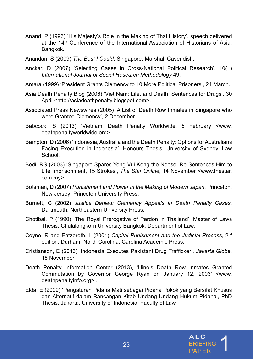- Anand, P (1996) 'His Majesty's Role in the Making of Thai History', speech delivered at the  $14<sup>th</sup>$  Conference of the International Association of Historians of Asia. Bangkok.
- Anandan, S (2009) *The Best I Could*. Singapore: Marshall Cavendish.
- Anckar, D (2007) 'Selecting Cases in Cross-National Political Research', 10(1) *International Journal of Social Research Methodology* 49.
- Antara (1999) 'President Grants Clemency to 10 More Political Prisoners', 24 March.
- Asia Death Penalty Blog (2008) 'Viet Nam: Life, and Death, Sentences for Drugs', 30 April <http://asiadeathpenalty.blogspot.com>.
- Associated Press Newswires (2005) 'A List of Death Row Inmates in Singapore who were Granted Clemency', 2 December.
- Babcock, S (2013) 'Vietnam' Death Penalty Worldwide, 5 February <www. deathpenaltyworldwide.org>.
- Bampton, D (2006) 'Indonesia, Australia and the Death Penalty: Options for Australians Facing Execution in Indonesia', Honours Thesis, University of Sydney, Law School.
- Bedi, RS (2003) 'Singapore Spares Yong Vui Kong the Noose, Re-Sentences Him to Life Imprisonment, 15 Strokes', *The Star Online*, 14 November <www.thestar. com.my>.
- Botsman, D (2007) *Punishment and Power in the Making of Modern Japan*. Princeton, New Jersey: Princeton University Press.
- Burnett, C (2002) *Justice Denied: Clemency Appeals in Death Penalty Cases*. Dartmouth: Northeastern University Press.
- Chotibal, P (1990) 'The Royal Prerogative of Pardon in Thailand', Master of Laws Thesis, Chulalongkorn University Bangkok, Department of Law.
- Coyne, R and Entzeroth, L (2001) *Capital Punishment and the Judicial Process*, 2nd edition. Durham, North Carolina: Carolina Academic Press.
- Cristianson, E (2013) 'Indonesia Executes Pakistani Drug Trafficker', *Jakarta Globe*, 18 November.
- Death Penalty Information Center (2013), 'Illinois Death Row Inmates Granted Commutation by Governor George Ryan on January 12, 2003' <www. deathpenaltyinfo.org> .
- Elda, E (2009) 'Pengaturan Pidana Mati sebagai Pidana Pokok yang Bersifat Khusus dan Alternatif dalam Rancangan Kitab Undang-Undang Hukum Pidana', PhD Thesis, Jakarta, University of Indonesia, Faculty of Law.

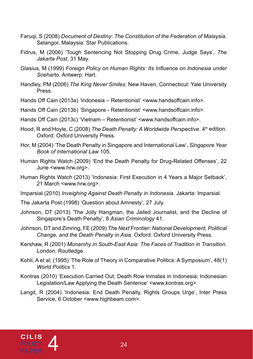- Faruqi, S (2008) *Document of Destiny: The Constitution of the Federation of Malaysia*. Selangor, Malaysia: Star Publications.
- Fidrus, M (2006) 'Tough Sentencing Not Stopping Drug Crime, Judge Says', *The Jakarta Post*, 31 May.
- Glasius, M (1999) *Foreign Policy on Human Rights: Its Influence on Indonesia under Soeharto*. Antwerp: Hart.
- Handley, PM (2006) *The King Never Smiles*. New Haven, Connecticut: Yale University Press.
- Hands Off Cain (2013a) 'Indonesia Retentionist' <www.handsoffcain.info>.
- Hands Off Cain (2013b) 'Singapore Retentionist' <www.handsoffcain.info>.
- Hands Off Cain (2013c) 'Vietnam Retentionist' <www.handsoffcain.info>.
- Hood, R and Hoyle, C (2008) *The Death Penalty: A Worldwide Perspective*. 4<sup>th</sup> edition. Oxford: Oxford University Press.
- Hor, M (2004) 'The Death Penalty in Singapore and International Law', *Singapore Year Book of International Law* 105.
- Human Rights Watch (2009) 'End the Death Penalty for Drug-Related Offenses', 22 June <www.hrw.org>.
- Human Rights Watch (2013) 'Indonesia: First Execution in 4 Years a Major Setback', 21 March <www.hrw.org>.
- Imparsial (2010) *Inveighing Against Death Penalty in Indonesia*. Jakarta: Imparsial.
- The Jakarta Post (1998) 'Question about Amnesty', 27 July.
- Johnson, DT (2013) 'The Jolly Hangman, the Jailed Journalist, and the Decline of Singapore's Death Penalty', 8 *Asian Criminology* 41.
- Johnson, DT and Zimring, FE (2009) *The Next Frontier: National Development, Political Change, and the Death Penalty in Asia*. Oxford: Oxford University Press.
- Kershaw, R (2001) *Monarchy in South-East Asia: The Faces of Tradition in Transition*. London: Routledge.
- Kohli, A et al; (1995) 'The Role of Theory in Comparative Politics: A Symposium', 48(1) *World Politics* 1.
- Kontras (2010) 'Execution Carried Out; Death Row Inmates in Indonesia; Indonesian Legislation/Law Applying the Death Sentence' <www.kontras.org>.
- Langit, R (2004) 'Indonesia: End Death Penalty, Rights Groups Urge', Inter Press Service, 6 October <www.highbeam.com>.

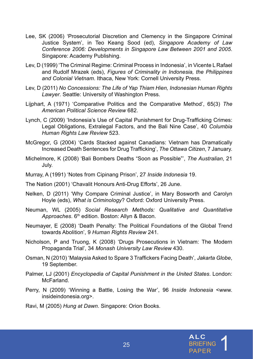- Lee, SK (2006) 'Prosecutorial Discretion and Clemency in the Singapore Criminal Justice System', in Teo Keang Sood (ed), *Singapore Academy of Law Conference 2006: Developments in Singapore Law Between 2001 and 2005*. Singapore: Academy Publishing.
- Lev, D (1999) 'The Criminal Regime: Criminal Process in Indonesia', in Vicente L Rafael and Rudolf Mrazek (eds), *Figures of Criminality in Indonesia, the Philippines and Colonial Vietnam*. Ithaca, New York: Cornell University Press.
- Lev, D (2011) *No Concessions: The Life of Yap Thiam Hien, Indonesian Human Rights Lawyer*. Seattle: University of Washington Press.
- Lijphart, A (1971) 'Comparative Politics and the Comparative Method', 65(3) *The American Political Science Review* 682.
- Lynch, C (2009) 'Indonesia's Use of Capital Punishment for Drug-Trafficking Crimes: Legal Obligations, Extralegal Factors, and the Bali Nine Case', 40 *Columbia Human Rights Law Review* 523.
- McGregor, G (2004) 'Cards Stacked against Canadians: Vietnam has Dramatically Increased Death Sentences for Drug Trafficking', *The Ottawa Citizen*, 7 January.
- Michelmore, K (2008) 'Bali Bombers Deaths "Soon as Possible"', *The Australian*, 21 July.
- Murray, A (1991) 'Notes from Cipinang Prison', 27 *Inside Indonesia* 19.
- The Nation (2001) 'Chavalit Honours Anti-Drug Efforts', 26 June.
- Nelken, D (2011) 'Why Compare Criminal Justice', in Mary Bosworth and Carolyn Hoyle (eds), *What is Criminology*? Oxford: Oxford University Press.
- Neuman, WL (2005) *Social Research Methods: Qualitative and Quantitative Approaches*. 6th edition. Boston: Allyn & Bacon.
- Neumayer, E (2008) 'Death Penalty: The Political Foundations of the Global Trend towards Abolition', 9 *Human Rights Review* 241.
- Nicholson, P and Truong, K (2008) 'Drugs Prosecutions in Vietnam: The Modern Propaganda Trial', 34 *Monash University Law Review* 430.
- Osman, N (2010) 'Malaysia Asked to Spare 3 Traffickers Facing Death', *Jakarta Globe*, 19 September.
- Palmer, LJ (2001) *Encyclopedia of Capital Punishment in the United States*. London: McFarland.
- Perry, N (2009) 'Winning a Battle, Losing the War', 96 *Inside Indonesia* <www. insideindonesia.org>.
- Ravi, M (2005) *Hung at Dawn*. Singapore: Orion Books.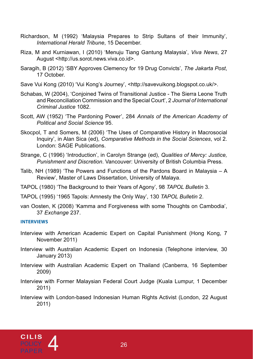- Richardson, M (1992) 'Malaysia Prepares to Strip Sultans of their Immunity', *International Herald Tribune*, 15 December.
- Riza, M and Kurniawan, I (2010) 'Menuju Tiang Gantung Malaysia', *Viva News*, 27 August <http://us.sorot.news.viva.co.id>.
- Saragih, B (2012) 'SBY Approves Clemency for 19 Drug Convicts', *The Jakarta Post*, 17 October.
- Save Vui Kong (2010) 'Vui Kong's Journey', <http://savevuikong.blogspot.co.uk/>.
- Schabas, W (2004), 'Conjoined Twins of Transitional Justice The Sierra Leone Truth and Reconciliation Commission and the Special Court', 2 *Journal of International Criminal Justice* 1082.
- Scott, AW (1952) 'The Pardoning Power', 284 *Annals of the American Academy of Political and Social Science* 95.
- Skocpol, T and Somers, M (2006) 'The Uses of Comparative History in Macrosocial Inquiry', in Alan Sica (ed), *Comparative Methods in the Social Sciences*, vol 2. London: SAGE Publications.
- Strange, C (1996) 'Introduction', in Carolyn Strange (ed), *Qualities of Mercy: Justice, Punishment and Discretion*. Vancouver: University of British Columbia Press.
- Talib, NH (1989) 'The Powers and Functions of the Pardons Board in Malaysia A Review', Master of Laws Dissertation, University of Malaya.
- TAPOL (1980) 'The Background to their Years of Agony', 98 *TAPOL Bulletin* 3.
- TAPOL (1995) '1965 Tapols: Amnesty the Only Way', 130 *TAPOL Bulletin* 2.
- van Oosten, K (2008) 'Kamma and Forgiveness with some Thoughts on Cambodia', 37 *Exchange* 237.

## **Interviews**

- Interview with American Academic Expert on Capital Punishment (Hong Kong, 7 November 2011)
- Interview with Australian Academic Expert on Indonesia (Telephone interview, 30 January 2013)
- Interview with Australian Academic Expert on Thailand (Canberra, 16 September 2009)
- Interview with Former Malaysian Federal Court Judge (Kuala Lumpur, 1 December 2011)
- Interview with London-based Indonesian Human Rights Activist (London, 22 August 2011)

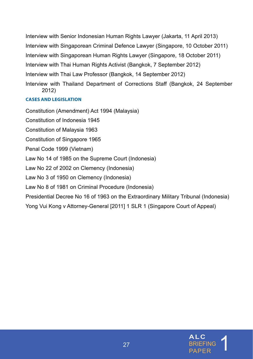Interview with Senior Indonesian Human Rights Lawyer (Jakarta, 11 April 2013) Interview with Singaporean Criminal Defence Lawyer (Singapore, 10 October 2011) Interview with Singaporean Human Rights Lawyer (Singapore, 18 October 2011) Interview with Thai Human Rights Activist (Bangkok, 7 September 2012) Interview with Thai Law Professor (Bangkok, 14 September 2012) Interview with Thailand Department of Corrections Staff (Bangkok, 24 September 2012)

## **Cases and Legislation**

Constitution (Amendment) Act 1994 (Malaysia)

Constitution of Indonesia 1945

Constitution of Malaysia 1963

Constitution of Singapore 1965

Penal Code 1999 (Vietnam)

Law No 14 of 1985 on the Supreme Court (Indonesia)

Law No 22 of 2002 on Clemency (Indonesia)

Law No 3 of 1950 on Clemency (Indonesia)

Law No 8 of 1981 on Criminal Procedure (Indonesia)

Presidential Decree No 16 of 1963 on the Extraordinary Military Tribunal (Indonesia)

Yong Vui Kong v Attorney-General [2011] 1 SLR 1 (Singapore Court of Appeal)

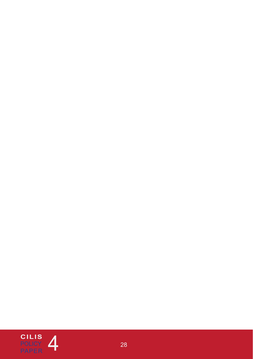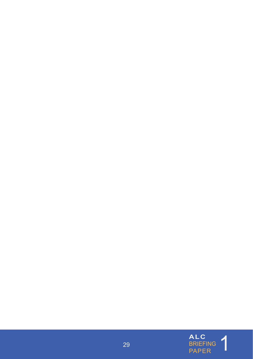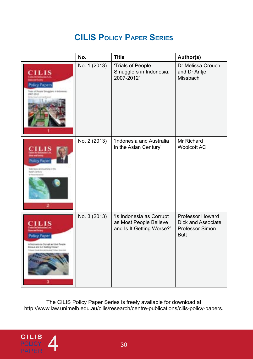# **CILIS Policy Paper Series**

|                                                             | No.          | <b>Title</b>                                                                    | Author(s)                                                                |
|-------------------------------------------------------------|--------------|---------------------------------------------------------------------------------|--------------------------------------------------------------------------|
| <b>CILIS</b><br>Police Paper                                | No. 1 (2013) | 'Trials of People<br>Smugglers in Indonesia:<br>2007-2012'                      | Dr Melissa Crouch<br>and Dr Antje<br>Missbach                            |
| is and Australia childs<br>Weet Darts for                   | No. 2 (2013) | 'Indonesia and Australia<br>in the Asian Century'                               | Mr Richard<br><b>Woolcott AC</b>                                         |
| tis in Gierupf an Most Penzi<br>deal in it Cadillac Vicens! | No. 3 (2013) | 'Is Indonesia as Corrupt<br>as Most People Believe<br>and Is It Getting Worse?' | Professor Howard<br>Dick and Associate<br>Professor Simon<br><b>Butt</b> |

The CILIS Policy Paper Series is freely available for download at http://www.law.unimelb.edu.au/cilis/research/centre-publications/cilis-policy-papers.

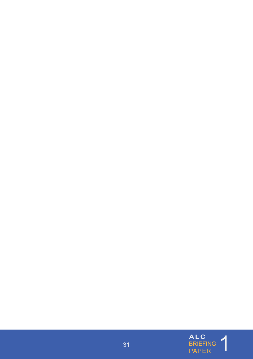